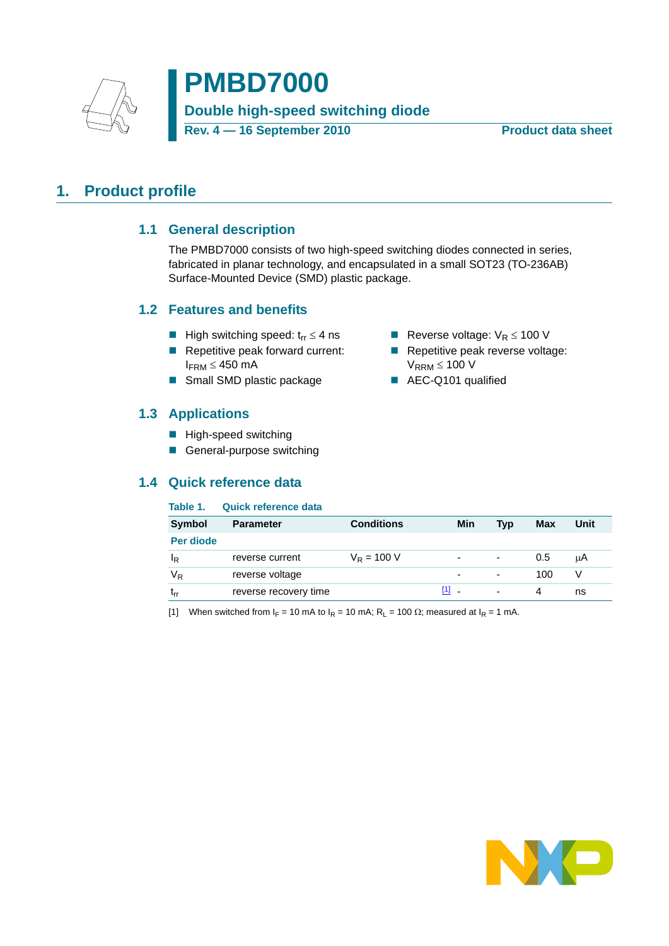

# **PMBD7000 Double high-speed switching diode** Rev. 4 — 16 September 2010 **Product data sheet**

### <span id="page-0-2"></span><span id="page-0-1"></span>**1. Product profile**

### **1.1 General description**

The PMBD7000 consists of two high-speed switching diodes connected in series, fabricated in planar technology, and encapsulated in a small SOT23 (TO-236AB) Surface-Mounted Device (SMD) plastic package.

### <span id="page-0-3"></span>**1.2 Features and benefits**

- High switching speed:  $t_{rr} \leq 4$  ns **EXECUTE:** Reverse voltage:  $V_R \leq 100$  V
- Repetitive peak forward current:  $I_{\text{FRM}} \leq 450 \text{ mA}$
- Small SMD plastic package AEC-Q101 qualified

### <span id="page-0-4"></span>**1.3 Applications**

- **High-speed switching**
- General-purpose switching

### <span id="page-0-5"></span>**1.4 Quick reference data**

#### **Table 1. Quick reference data**

| <b>Symbol</b> | <b>Parameter</b>      | <b>Conditions</b>   | Min                      | <b>Typ</b>               | Max | Unit |
|---------------|-----------------------|---------------------|--------------------------|--------------------------|-----|------|
| Per diode     |                       |                     |                          |                          |     |      |
| ΙR            | reverse current       | $V_{\rm R} = 100$ V | -                        | $\overline{\phantom{0}}$ | 0.5 | μA   |
| $V_R$         | reverse voltage       |                     | $\overline{\phantom{0}}$ | $\overline{\phantom{0}}$ | 100 |      |
| ٠rr           | reverse recovery time |                     | 11.                      | $\overline{\phantom{0}}$ | 4   | ns   |

<span id="page-0-0"></span>[1] When switched from  $I_F = 10$  mA to  $I_R = 10$  mA;  $R_L = 100 \Omega$ ; measured at  $I_R = 1$  mA.



- 
- Repetitive peak reverse voltage:  $V_{RRM} \leq 100 V$
-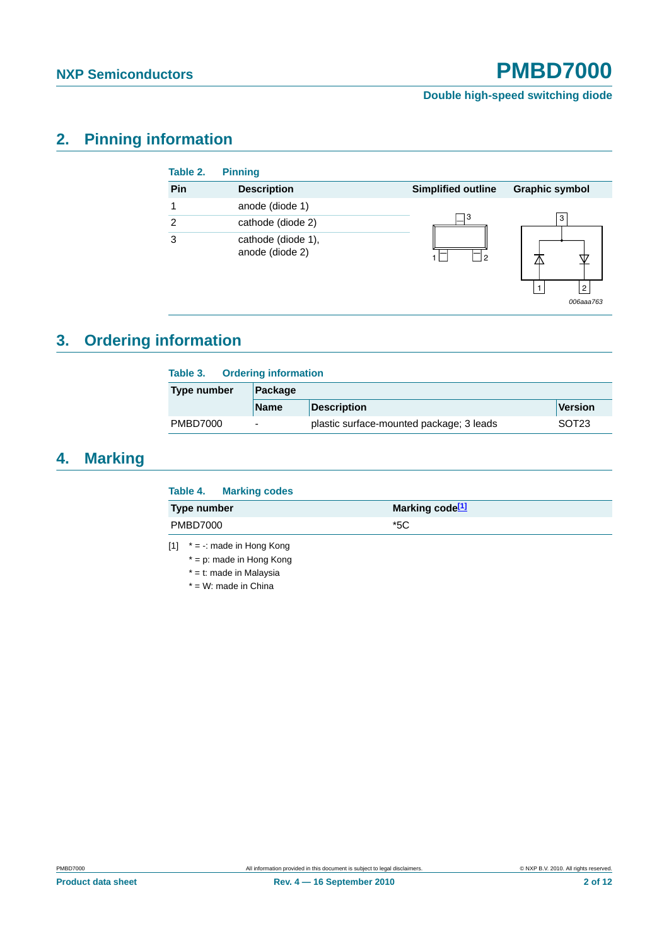**Double high-speed switching diode**

# <span id="page-1-2"></span>**2. Pinning information**

| Table 2. | <b>Pinning</b>                        |                           |                       |
|----------|---------------------------------------|---------------------------|-----------------------|
| Pin      | <b>Description</b>                    | <b>Simplified outline</b> | <b>Graphic symbol</b> |
|          | anode (diode 1)                       |                           |                       |
| 2        | cathode (diode 2)                     | 3                         | 3                     |
| 3        | cathode (diode 1),<br>anode (diode 2) | 2                         | $\overline{2}$        |

*006aaa763*

# <span id="page-1-3"></span>**3. Ordering information**

| Table 3.        | <b>Ordering information</b> |                                          |                   |  |  |  |
|-----------------|-----------------------------|------------------------------------------|-------------------|--|--|--|
| Type number     | Package                     |                                          |                   |  |  |  |
|                 | <b>Name</b>                 | <b>Description</b>                       | <b>Version</b>    |  |  |  |
| <b>PMBD7000</b> | $\overline{\phantom{0}}$    | plastic surface-mounted package; 3 leads | SOT <sub>23</sub> |  |  |  |

### <span id="page-1-4"></span>**4. Marking**

<span id="page-1-1"></span>

|                 | Table 4. Marking codes |                             |
|-----------------|------------------------|-----------------------------|
| Type number     |                        | Marking code <sup>[1]</sup> |
| <b>PMBD7000</b> |                        | *5C                         |
|                 |                        |                             |

<span id="page-1-0"></span> $[1]$  \* = -: made in Hong Kong

\* = p: made in Hong Kong

\* = t: made in Malaysia

\* = W: made in China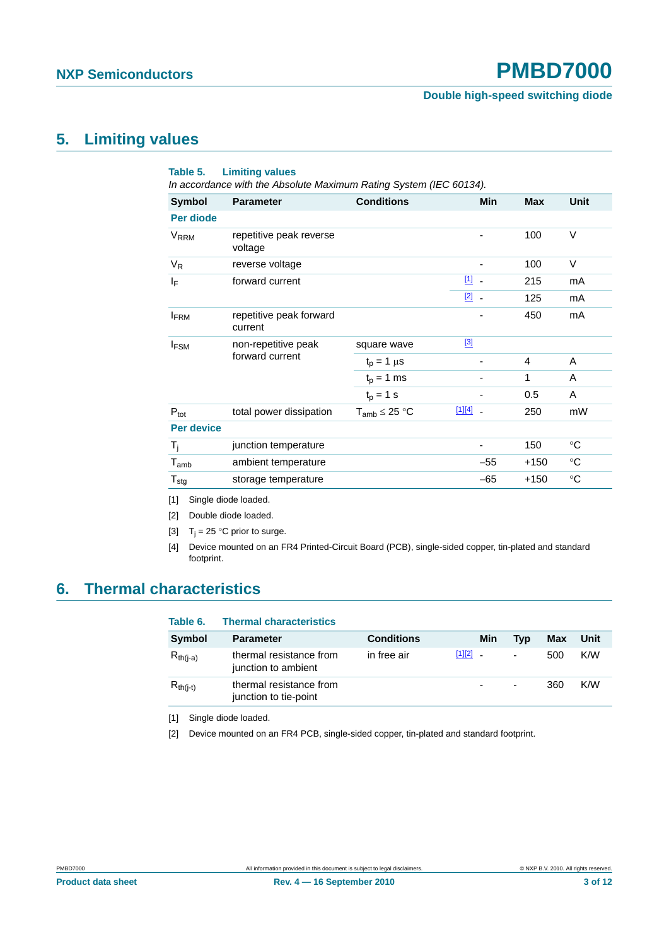#### **Double high-speed switching diode**

### <span id="page-2-6"></span>**5. Limiting values**

| Table 5.                    | <b>Limiting values</b><br>In accordance with the Absolute Maximum Rating System (IEC 60134). |                      |               |        |             |
|-----------------------------|----------------------------------------------------------------------------------------------|----------------------|---------------|--------|-------------|
| Symbol                      | <b>Parameter</b>                                                                             | <b>Conditions</b>    | Min           | Max    | Unit        |
| Per diode                   |                                                                                              |                      |               |        |             |
| <b>V<sub>RRM</sub></b>      | repetitive peak reverse<br>voltage                                                           |                      |               | 100    | V           |
| $V_R$                       | reverse voltage                                                                              |                      |               | 100    | $\vee$      |
| ΙF                          | forward current                                                                              |                      | $11 -$        | 215    | mA          |
|                             |                                                                                              |                      | $\boxed{2}$ . | 125    | mA          |
| <b>IFRM</b>                 | repetitive peak forward<br>current                                                           |                      |               | 450    | mA          |
| <b>IFSM</b>                 | non-repetitive peak<br>forward current                                                       | square wave          | $\boxed{3}$   |        |             |
|                             |                                                                                              | $t_p = 1 \mu s$      |               | 4      | A           |
|                             |                                                                                              | $t_p = 1$ ms         |               | 1      | A           |
|                             |                                                                                              | $t_{p} = 1$ s        |               | 0.5    | A           |
| $P_{\text{tot}}$            | total power dissipation                                                                      | $T_{amb} \leq 25 °C$ | $[1][4]$ .    | 250    | mW          |
| <b>Per device</b>           |                                                                                              |                      |               |        |             |
| $T_i$                       | junction temperature                                                                         |                      | ٠             | 150    | $^{\circ}C$ |
| $\mathsf{T}_{\mathsf{amb}}$ | ambient temperature                                                                          |                      | $-55$         | $+150$ | $^{\circ}C$ |
| $T_{\text{stg}}$            | storage temperature                                                                          |                      | $-65$         | $+150$ | $^{\circ}C$ |

<span id="page-2-0"></span>[1] Single diode loaded.

<span id="page-2-1"></span>[2] Double diode loaded.

<span id="page-2-2"></span>[3]  $T_i = 25 °C$  prior to surge.

<span id="page-2-3"></span>[4] Device mounted on an FR4 Printed-Circuit Board (PCB), single-sided copper, tin-plated and standard footprint.

### <span id="page-2-7"></span>**6. Thermal characteristics**

| Table 6.      | <b>Thermal characteristics</b>                   |                   |            |                |            |      |
|---------------|--------------------------------------------------|-------------------|------------|----------------|------------|------|
| Symbol        | <b>Parameter</b>                                 | <b>Conditions</b> | Min        | Typ            | <b>Max</b> | Unit |
| $R_{th(i-a)}$ | thermal resistance from<br>junction to ambient   | in free air       | $[1][2]$ . | $\overline{a}$ | 500        | K/W  |
| $R_{th(i-t)}$ | thermal resistance from<br>junction to tie-point |                   | ٠          | ۰              | 360        | K/W  |

<span id="page-2-4"></span>[1] Single diode loaded.

<span id="page-2-5"></span>[2] Device mounted on an FR4 PCB, single-sided copper, tin-plated and standard footprint.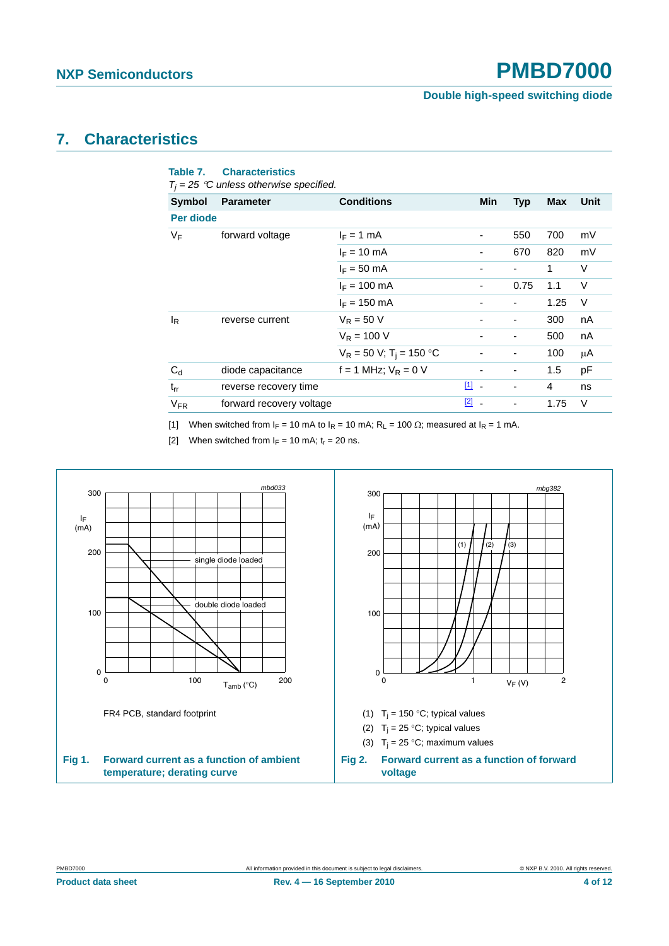#### **Double high-speed switching diode**

### <span id="page-3-4"></span>**7. Characteristics**

|                       | $T_i = 25$ °C unless otherwise specified. |                                        |               |                          |      |      |
|-----------------------|-------------------------------------------|----------------------------------------|---------------|--------------------------|------|------|
| <b>Symbol</b>         | <b>Parameter</b>                          | <b>Conditions</b>                      | Min           | <b>Typ</b>               | Max  | Unit |
| Per diode             |                                           |                                        |               |                          |      |      |
| VF                    | forward voltage                           | $I_F = 1$ mA                           | -             | 550                      | 700  | mV   |
|                       |                                           | $I_F = 10$ mA                          |               | 670                      | 820  | mV   |
|                       |                                           | $I_F = 50$ mA                          |               |                          | 1    | V    |
|                       |                                           | $I_F = 100$ mA                         |               | 0.75                     | 1.1  | V    |
|                       |                                           | $I_F = 150$ mA                         |               |                          | 1.25 | V    |
| l <sub>R</sub>        | reverse current                           | $V_R = 50 V$                           |               | ٠                        | 300  | nA   |
|                       |                                           | $V_R = 100 V$                          |               |                          | 500  | nA   |
|                       |                                           | $V_R = 50 V$ ; T <sub>i</sub> = 150 °C |               | ٠                        | 100  | μA   |
| $C_d$                 | diode capacitance                         | $f = 1$ MHz; $V_R = 0$ V               |               | $\overline{\phantom{a}}$ | 1.5  | pF   |
| $t_{rr}$              | reverse recovery time                     |                                        | $\boxed{1}$ - |                          | 4    | ns   |
| <b>V<sub>FR</sub></b> | forward recovery voltage                  |                                        | $\boxed{2}$ - |                          | 1.75 | V    |
|                       |                                           |                                        |               |                          |      |      |

<span id="page-3-0"></span>[1] When switched from  $I_F = 10$  mA to  $I_R = 10$  mA;  $R_L = 100 \Omega$ ; measured at  $I_R = 1$  mA.

<span id="page-3-3"></span><span id="page-3-1"></span>[2] When switched from  $I_F = 10$  mA;  $t_r = 20$  ns.

<span id="page-3-2"></span>**Table 7. Characteristics**

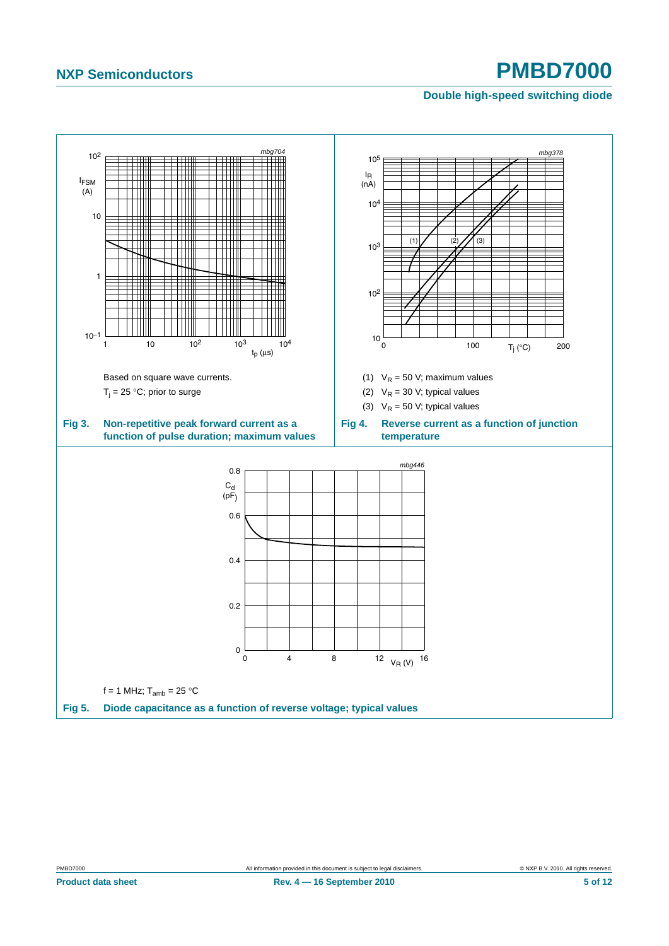### **Double high-speed switching diode**

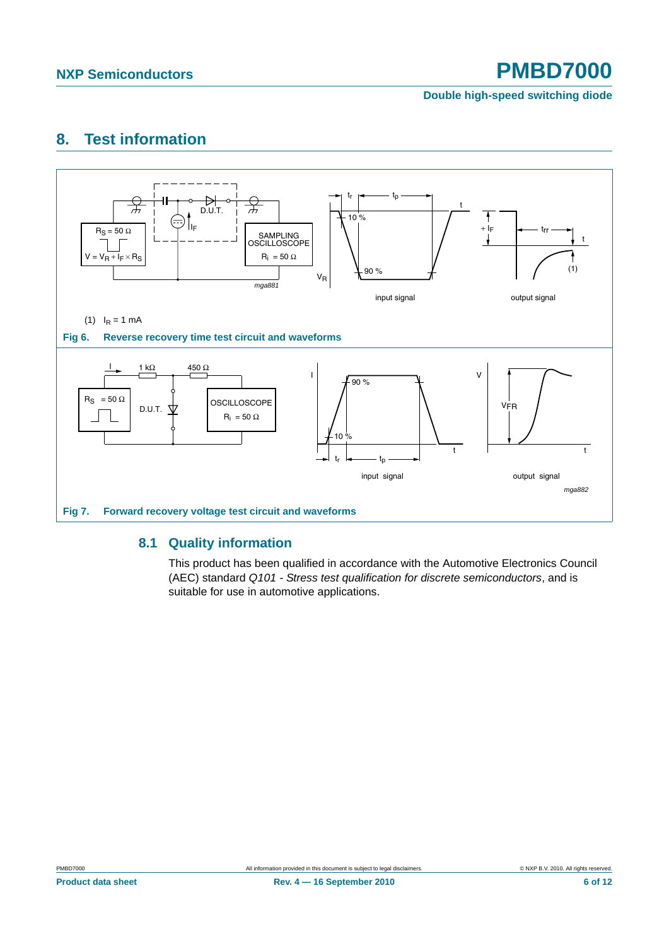#### **Double high-speed switching diode**

### <span id="page-5-1"></span>**8. Test information**

<span id="page-5-2"></span>

#### <span id="page-5-0"></span>**8.1 Quality information**

This product has been qualified in accordance with the Automotive Electronics Council (AEC) standard *Q101 - Stress test qualification for discrete semiconductors*, and is suitable for use in automotive applications.

**Product data sheet 6 of 12 Rev. 4 – 16 September 2010** 6 **12 6 of 12**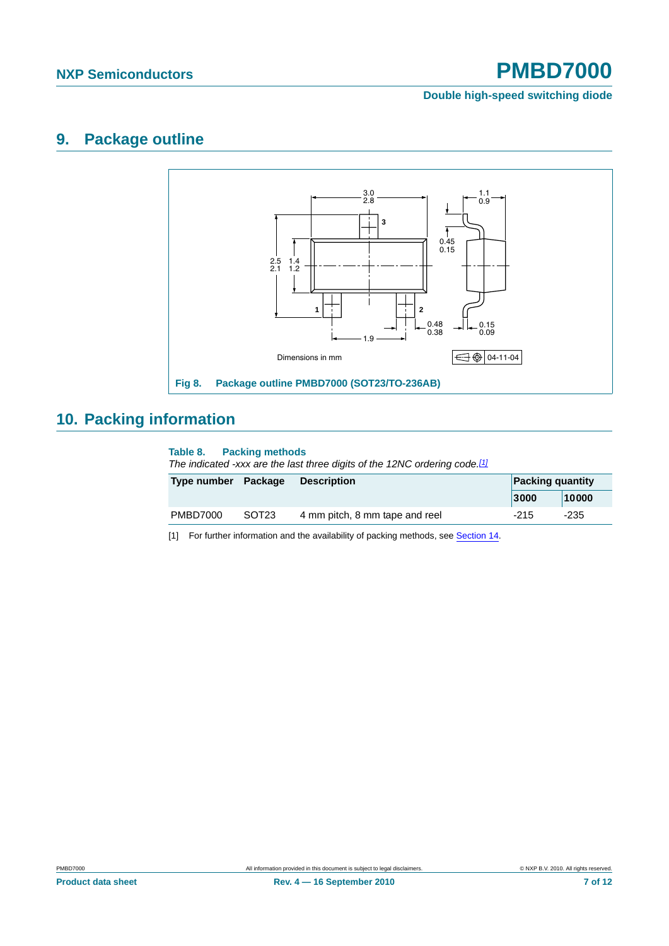#### **Double high-speed switching diode**

### <span id="page-6-1"></span>**9. Package outline**



# <span id="page-6-2"></span>**10. Packing information**

#### **Table 8. Packing methods**

*The indicated -xxx are the last three digits of the 12NC ordering code.[\[1\]](#page-6-0)*

| Type number Package |                   | <b>Description</b>             |        | <b>Packing quantity</b> |  |
|---------------------|-------------------|--------------------------------|--------|-------------------------|--|
|                     |                   |                                | 3000   | 10000                   |  |
| PMBD7000            | SOT <sub>23</sub> | 4 mm pitch, 8 mm tape and reel | $-215$ | $-235$                  |  |

<span id="page-6-0"></span>[1] For further information and the availability of packing methods, see [Section 14](#page-10-0).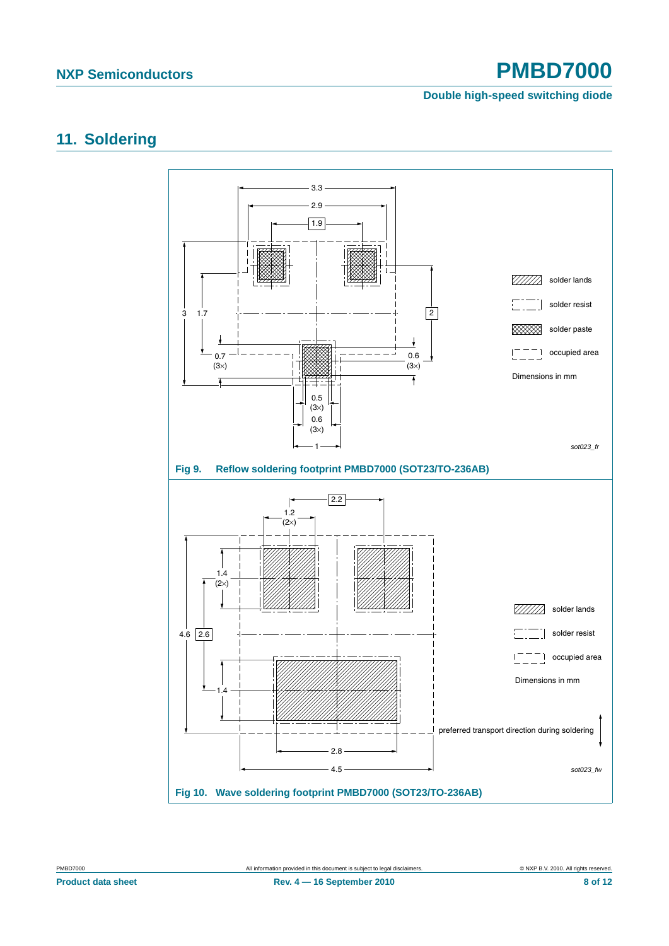### **Double high-speed switching diode**

### <span id="page-7-0"></span>**11. Soldering**

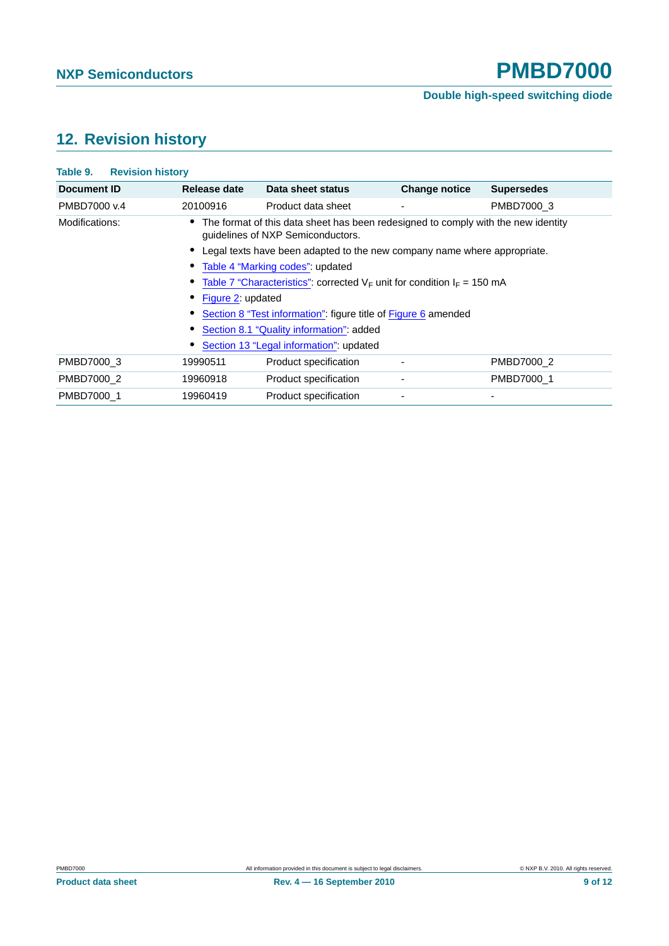### **Double high-speed switching diode**

# <span id="page-8-0"></span>**12. Revision history**

| Table 9.<br><b>Revision history</b> |                                                                                                                        |                                         |                          |                          |  |  |
|-------------------------------------|------------------------------------------------------------------------------------------------------------------------|-----------------------------------------|--------------------------|--------------------------|--|--|
| Document ID                         | Release date                                                                                                           | Data sheet status                       | <b>Change notice</b>     | <b>Supersedes</b>        |  |  |
| PMBD7000 v.4                        | 20100916                                                                                                               | Product data sheet                      | $\overline{\phantom{a}}$ | PMBD7000 3               |  |  |
| Modifications:                      | The format of this data sheet has been redesigned to comply with the new identity<br>guidelines of NXP Semiconductors. |                                         |                          |                          |  |  |
|                                     | Legal texts have been adapted to the new company name where appropriate.                                               |                                         |                          |                          |  |  |
|                                     | Table 4 "Marking codes": updated                                                                                       |                                         |                          |                          |  |  |
|                                     | Table 7 "Characteristics": corrected $V_F$ unit for condition $I_F = 150$ mA                                           |                                         |                          |                          |  |  |
|                                     | Figure 2: updated                                                                                                      |                                         |                          |                          |  |  |
|                                     | Section 8 "Test information": figure title of Figure 6 amended                                                         |                                         |                          |                          |  |  |
|                                     | Section 8.1 "Quality information": added                                                                               |                                         |                          |                          |  |  |
|                                     |                                                                                                                        | Section 13 "Legal information": updated |                          |                          |  |  |
| PMBD7000 3                          | 19990511                                                                                                               | Product specification                   | ٠                        | PMBD7000 2               |  |  |
| PMBD7000 2                          | 19960918                                                                                                               | Product specification                   |                          | PMBD7000 1               |  |  |
| PMBD7000 1                          | 19960419                                                                                                               | Product specification                   |                          | $\overline{\phantom{0}}$ |  |  |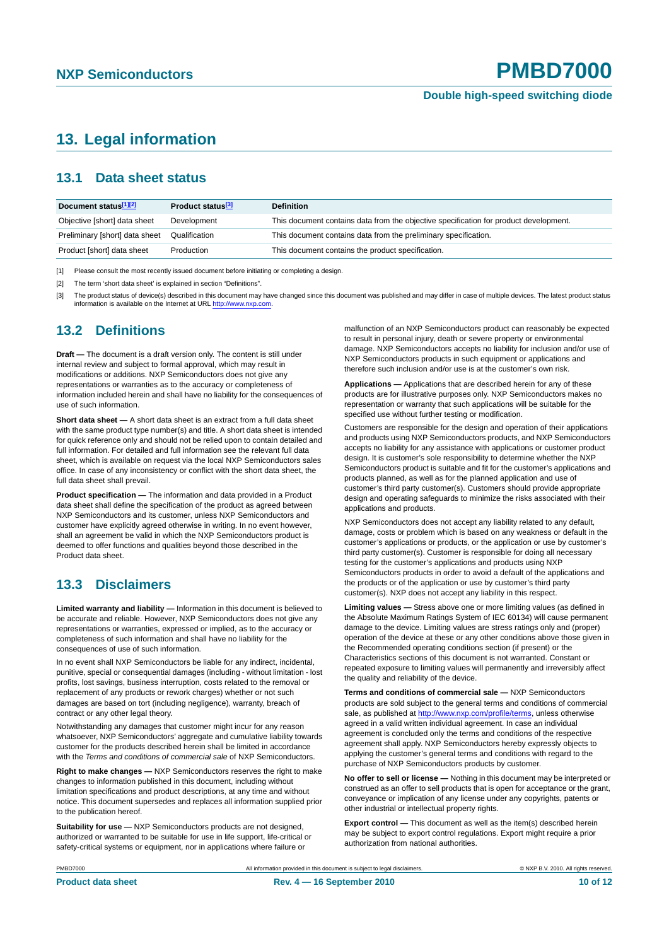### <span id="page-9-0"></span>**13. Legal information**

### <span id="page-9-1"></span>**13.1 Data sheet status**

| Document status[1][2]          | Product status <sup>[3]</sup> | <b>Definition</b>                                                                     |
|--------------------------------|-------------------------------|---------------------------------------------------------------------------------------|
| Objective [short] data sheet   | Development                   | This document contains data from the objective specification for product development. |
| Preliminary [short] data sheet | Qualification                 | This document contains data from the preliminary specification.                       |
| Product [short] data sheet     | Production                    | This document contains the product specification.                                     |

[1] Please consult the most recently issued document before initiating or completing a design.

[2] The term 'short data sheet' is explained in section "Definitions".

[3] The product status of device(s) described in this document may have changed since this document was published and may differ in case of multiple devices. The latest product status<br>information is available on the Intern

### <span id="page-9-2"></span>**13.2 Definitions**

**Draft —** The document is a draft version only. The content is still under internal review and subject to formal approval, which may result in modifications or additions. NXP Semiconductors does not give any representations or warranties as to the accuracy or completeness of information included herein and shall have no liability for the consequences of use of such information.

**Short data sheet —** A short data sheet is an extract from a full data sheet with the same product type number(s) and title. A short data sheet is intended for quick reference only and should not be relied upon to contain detailed and full information. For detailed and full information see the relevant full data sheet, which is available on request via the local NXP Semiconductors sales office. In case of any inconsistency or conflict with the short data sheet, the full data sheet shall prevail.

**Product specification —** The information and data provided in a Product data sheet shall define the specification of the product as agreed between NXP Semiconductors and its customer, unless NXP Semiconductors and customer have explicitly agreed otherwise in writing. In no event however, shall an agreement be valid in which the NXP Semiconductors product is deemed to offer functions and qualities beyond those described in the Product data sheet.

### <span id="page-9-3"></span>**13.3 Disclaimers**

**Limited warranty and liability —** Information in this document is believed to be accurate and reliable. However, NXP Semiconductors does not give any representations or warranties, expressed or implied, as to the accuracy or completeness of such information and shall have no liability for the consequences of use of such information.

In no event shall NXP Semiconductors be liable for any indirect, incidental, punitive, special or consequential damages (including - without limitation - lost profits, lost savings, business interruption, costs related to the removal or replacement of any products or rework charges) whether or not such damages are based on tort (including negligence), warranty, breach of contract or any other legal theory.

Notwithstanding any damages that customer might incur for any reason whatsoever, NXP Semiconductors' aggregate and cumulative liability towards customer for the products described herein shall be limited in accordance with the *Terms and conditions of commercial sale* of NXP Semiconductors.

**Right to make changes —** NXP Semiconductors reserves the right to make changes to information published in this document, including without limitation specifications and product descriptions, at any time and without notice. This document supersedes and replaces all information supplied prior to the publication hereof.

**Suitability for use —** NXP Semiconductors products are not designed, authorized or warranted to be suitable for use in life support, life-critical or safety-critical systems or equipment, nor in applications where failure or

malfunction of an NXP Semiconductors product can reasonably be expected to result in personal injury, death or severe property or environmental damage. NXP Semiconductors accepts no liability for inclusion and/or use of NXP Semiconductors products in such equipment or applications and therefore such inclusion and/or use is at the customer's own risk.

**Applications —** Applications that are described herein for any of these products are for illustrative purposes only. NXP Semiconductors makes no representation or warranty that such applications will be suitable for the specified use without further testing or modification.

Customers are responsible for the design and operation of their applications and products using NXP Semiconductors products, and NXP Semiconductors accepts no liability for any assistance with applications or customer product design. It is customer's sole responsibility to determine whether the NXP Semiconductors product is suitable and fit for the customer's applications and products planned, as well as for the planned application and use of customer's third party customer(s). Customers should provide appropriate design and operating safeguards to minimize the risks associated with their applications and products.

NXP Semiconductors does not accept any liability related to any default, damage, costs or problem which is based on any weakness or default in the customer's applications or products, or the application or use by customer's third party customer(s). Customer is responsible for doing all necessary testing for the customer's applications and products using NXP Semiconductors products in order to avoid a default of the applications and the products or of the application or use by customer's third party customer(s). NXP does not accept any liability in this respect.

**Limiting values —** Stress above one or more limiting values (as defined in the Absolute Maximum Ratings System of IEC 60134) will cause permanent damage to the device. Limiting values are stress ratings only and (proper) operation of the device at these or any other conditions above those given in the Recommended operating conditions section (if present) or the Characteristics sections of this document is not warranted. Constant or repeated exposure to limiting values will permanently and irreversibly affect the quality and reliability of the device.

**Terms and conditions of commercial sale —** NXP Semiconductors products are sold subject to the general terms and conditions of commercial sale, as published at<http://www.nxp.com/profile/terms>, unless otherwise agreed in a valid written individual agreement. In case an individual agreement is concluded only the terms and conditions of the respective agreement shall apply. NXP Semiconductors hereby expressly objects to applying the customer's general terms and conditions with regard to the purchase of NXP Semiconductors products by customer.

**No offer to sell or license —** Nothing in this document may be interpreted or construed as an offer to sell products that is open for acceptance or the grant, conveyance or implication of any license under any copyrights, patents or other industrial or intellectual property rights.

**Export control —** This document as well as the item(s) described herein may be subject to export control regulations. Export might require a prior authorization from national authorities.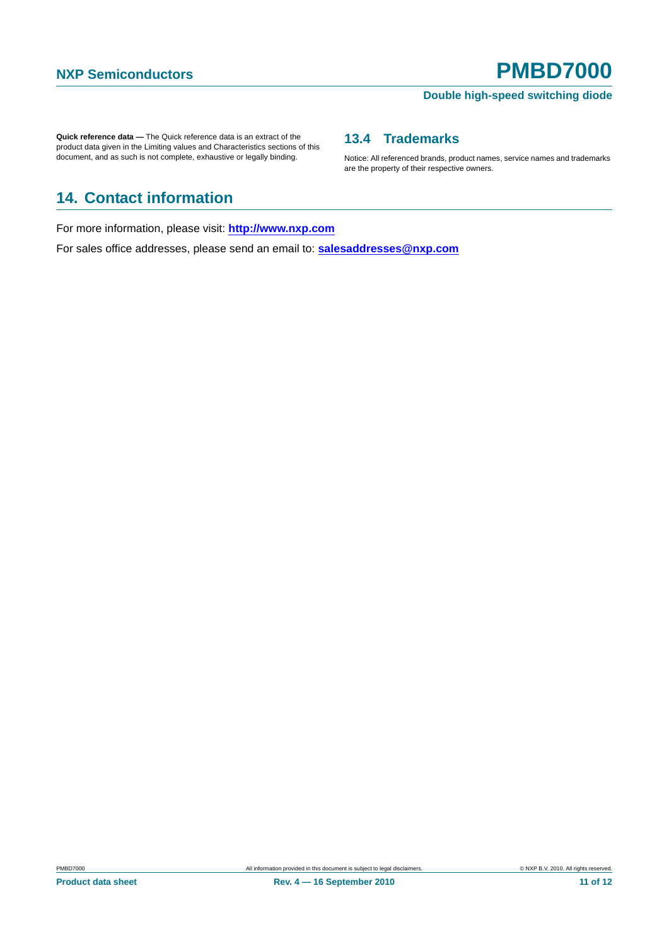#### **Double high-speed switching diode**

Notice: All referenced brands, product names, service names and trademarks

<span id="page-10-1"></span>**13.4 Trademarks**

are the property of their respective owners.

**Quick reference data —** The Quick reference data is an extract of the product data given in the Limiting values and Characteristics sections of this document, and as such is not complete, exhaustive or legally binding.

# <span id="page-10-0"></span>**14. Contact information**

For more information, please visit: **http://www.nxp.com**

For sales office addresses, please send an email to: **salesaddresses@nxp.com**